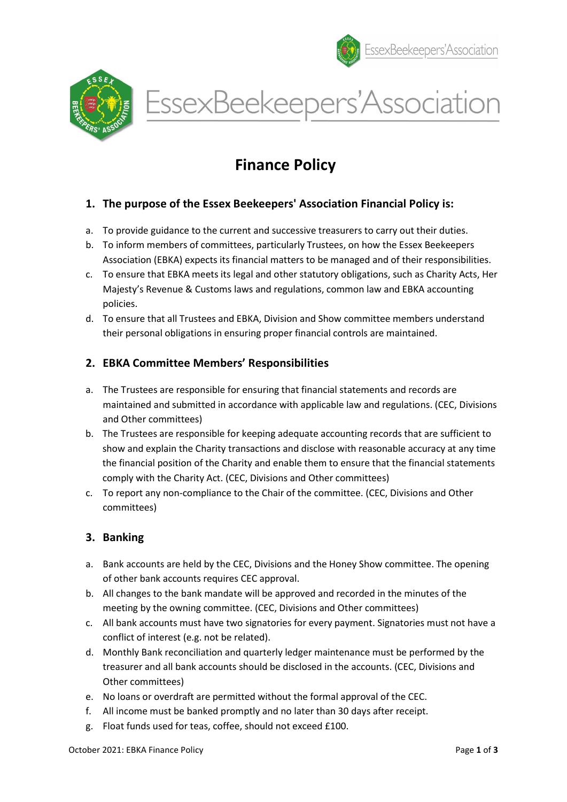



EssexBeekeepers'Association

# Finance Policy

## 1. The purpose of the Essex Beekeepers' Association Financial Policy is:

- a. To provide guidance to the current and successive treasurers to carry out their duties.
- b. To inform members of committees, particularly Trustees, on how the Essex Beekeepers Association (EBKA) expects its financial matters to be managed and of their responsibilities.
- c. To ensure that EBKA meets its legal and other statutory obligations, such as Charity Acts, Her Majesty's Revenue & Customs laws and regulations, common law and EBKA accounting policies.
- d. To ensure that all Trustees and EBKA, Division and Show committee members understand their personal obligations in ensuring proper financial controls are maintained.

#### 2. EBKA Committee Members' Responsibilities

- a. The Trustees are responsible for ensuring that financial statements and records are maintained and submitted in accordance with applicable law and regulations. (CEC, Divisions and Other committees)
- b. The Trustees are responsible for keeping adequate accounting records that are sufficient to show and explain the Charity transactions and disclose with reasonable accuracy at any time the financial position of the Charity and enable them to ensure that the financial statements comply with the Charity Act. (CEC, Divisions and Other committees)
- c. To report any non-compliance to the Chair of the committee. (CEC, Divisions and Other committees)

## 3. Banking

- a. Bank accounts are held by the CEC, Divisions and the Honey Show committee. The opening of other bank accounts requires CEC approval.
- b. All changes to the bank mandate will be approved and recorded in the minutes of the meeting by the owning committee. (CEC, Divisions and Other committees)
- c. All bank accounts must have two signatories for every payment. Signatories must not have a conflict of interest (e.g. not be related).
- d. Monthly Bank reconciliation and quarterly ledger maintenance must be performed by the treasurer and all bank accounts should be disclosed in the accounts. (CEC, Divisions and Other committees)
- e. No loans or overdraft are permitted without the formal approval of the CEC.
- f. All income must be banked promptly and no later than 30 days after receipt.
- g. Float funds used for teas, coffee, should not exceed £100.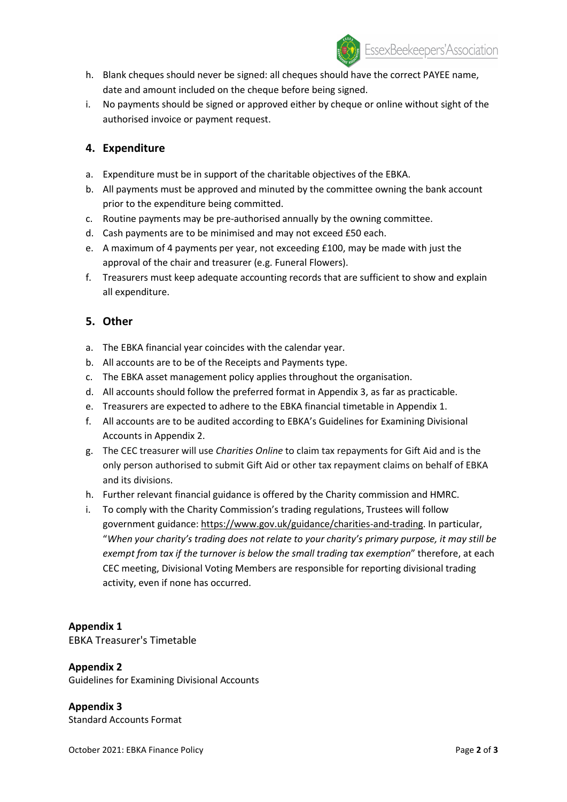

- h. Blank cheques should never be signed: all cheques should have the correct PAYEE name, date and amount included on the cheque before being signed.
- i. No payments should be signed or approved either by cheque or online without sight of the authorised invoice or payment request.

### 4. Expenditure

- a. Expenditure must be in support of the charitable objectives of the EBKA.
- b. All payments must be approved and minuted by the committee owning the bank account prior to the expenditure being committed.
- c. Routine payments may be pre-authorised annually by the owning committee.
- d. Cash payments are to be minimised and may not exceed £50 each.
- e. A maximum of 4 payments per year, not exceeding £100, may be made with just the approval of the chair and treasurer (e.g. Funeral Flowers).
- f. Treasurers must keep adequate accounting records that are sufficient to show and explain all expenditure.

#### 5. Other

- a. The EBKA financial year coincides with the calendar year.
- b. All accounts are to be of the Receipts and Payments type.
- c. The EBKA asset management policy applies throughout the organisation.
- d. All accounts should follow the preferred format in Appendix 3, as far as practicable.
- e. Treasurers are expected to adhere to the EBKA financial timetable in Appendix 1.
- f. All accounts are to be audited according to EBKA's Guidelines for Examining Divisional Accounts in Appendix 2.
- g. The CEC treasurer will use Charities Online to claim tax repayments for Gift Aid and is the only person authorised to submit Gift Aid or other tax repayment claims on behalf of EBKA and its divisions.
- h. Further relevant financial guidance is offered by the Charity commission and HMRC.
- i. To comply with the Charity Commission's trading regulations, Trustees will follow government guidance: https://www.gov.uk/guidance/charities-and-trading. In particular, "When your charity's trading does not relate to your charity's primary purpose, it may still be exempt from tax if the turnover is below the small trading tax exemption" therefore, at each CEC meeting, Divisional Voting Members are responsible for reporting divisional trading activity, even if none has occurred.

#### Appendix 1

EBKA Treasurer's Timetable

#### Appendix 2

Guidelines for Examining Divisional Accounts

Appendix 3 Standard Accounts Format